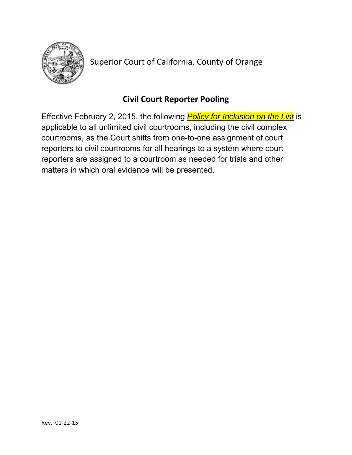

Superior Court of California, County of Orange

# **Civil Court Reporter Pooling**

Effective February 2, 2015, the following *Policy for Inclusion on the List* is applicable to all unlimited civil courtrooms, including the civil complex courtrooms, as the Court shifts from one-to-one assignment of court reporters to civil courtrooms for all hearings to a system where court reporters are assigned to a courtroom as needed for trials and other matters in which oral evidence will be presented.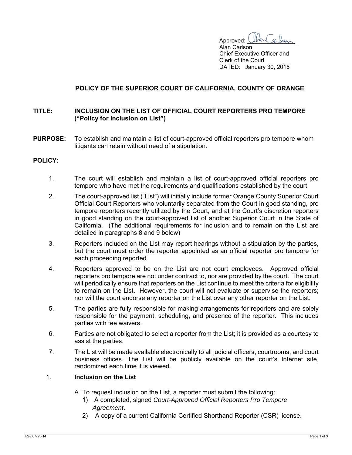**Approved:** Ulan Carbon

 Alan Carlson Chief Executive Officer and Clerk of the Court DATED: January 30, 2015

## **POLICY OF THE SUPERIOR COURT OF CALIFORNIA, COUNTY OF ORANGE**

#### **TITLE: INCLUSION ON THE LIST OF OFFICIAL COURT REPORTERS PRO TEMPORE ("Policy for Inclusion on List")**

**PURPOSE:** To establish and maintain a list of court-approved official reporters pro tempore whom litigants can retain without need of a stipulation.

### **POLICY:**

- 1. The court will establish and maintain a list of court-approved official reporters pro tempore who have met the requirements and qualifications established by the court.
- 2. The court-approved list ("List") will initially include former Orange County Superior Court Official Court Reporters who voluntarily separated from the Court in good standing, pro tempore reporters recently utilized by the Court, and at the Court's discretion reporters in good standing on the court-approved list of another Superior Court in the State of California. (The additional requirements for inclusion and to remain on the List are detailed in paragraphs 8 and 9 below)
- 3. Reporters included on the List may report hearings without a stipulation by the parties, but the court must order the reporter appointed as an official reporter pro tempore for each proceeding reported.
- 4. Reporters approved to be on the List are not court employees. Approved official reporters pro tempore are not under contract to, nor are provided by the court. The court will periodically ensure that reporters on the List continue to meet the criteria for eligibility to remain on the List. However, the court will not evaluate or supervise the reporters; nor will the court endorse any reporter on the List over any other reporter on the List.
- 5. The parties are fully responsible for making arrangements for reporters and are solely responsible for the payment, scheduling, and presence of the reporter. This includes parties with fee waivers.
- 6. Parties are not obligated to select a reporter from the List; it is provided as a courtesy to assist the parties.
- 7. The List will be made available electronically to all judicial officers, courtrooms, and court business offices. The List will be publicly available on the court's Internet site, randomized each time it is viewed.

#### 1. **Inclusion on the List**

- A. To request inclusion on the List, a reporter must submit the following:
	- 1) A completed, signed *Court-Approved Official Reporters Pro Tempore Agreement*.
	- 2) A copy of a current California Certified Shorthand Reporter (CSR) license.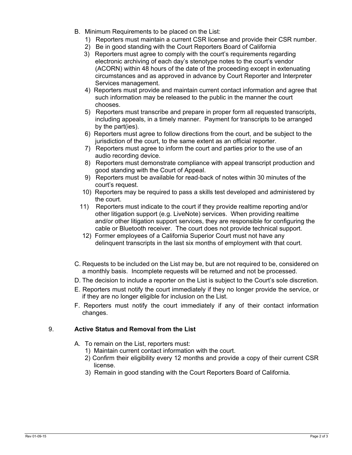- B. Minimum Requirements to be placed on the List:
	- 1) Reporters must maintain a current CSR license and provide their CSR number.
	- 2) Be in good standing with the Court Reporters Board of California
	- 3) Reporters must agree to comply with the court's requirements regarding electronic archiving of each day's stenotype notes to the court's vendor (ACORN) within 48 hours of the date of the proceeding except in extenuating circumstances and as approved in advance by Court Reporter and Interpreter Services management.
	- 4) Reporters must provide and maintain current contact information and agree that such information may be released to the public in the manner the court chooses.
	- 5) Reporters must transcribe and prepare in proper form all requested transcripts, including appeals, in a timely manner. Payment for transcripts to be arranged by the part(ies).
	- 6) Reporters must agree to follow directions from the court, and be subject to the jurisdiction of the court, to the same extent as an official reporter.
	- 7) Reporters must agree to inform the court and parties prior to the use of an audio recording device.
	- 8) Reporters must demonstrate compliance with appeal transcript production and good standing with the Court of Appeal.
	- 9) Reporters must be available for read-back of notes within 30 minutes of the court's request.
	- 10) Reporters may be required to pass a skills test developed and administered by the court.
	- 11) Reporters must indicate to the court if they provide realtime reporting and/or other litigation support (e.g. LiveNote) services. When providing realtime and/or other litigation support services, they are responsible for configuring the cable or Bluetooth receiver. The court does not provide technical support.
	- 12) Former employees of a California Superior Court must not have any delinquent transcripts in the last six months of employment with that court.
- C. Requests to be included on the List may be, but are not required to be, considered on a monthly basis. Incomplete requests will be returned and not be processed.
- D. The decision to include a reporter on the List is subject to the Court's sole discretion.
- E. Reporters must notify the court immediately if they no longer provide the service, or if they are no longer eligible for inclusion on the List.
- F. Reporters must notify the court immediately if any of their contact information changes.

# 9. **Active Status and Removal from the List**

- A. To remain on the List, reporters must:
	- 1) Maintain current contact information with the court.
	- 2) Confirm their eligibility every 12 months and provide a copy of their current CSR license.
	- 3) Remain in good standing with the Court Reporters Board of California.